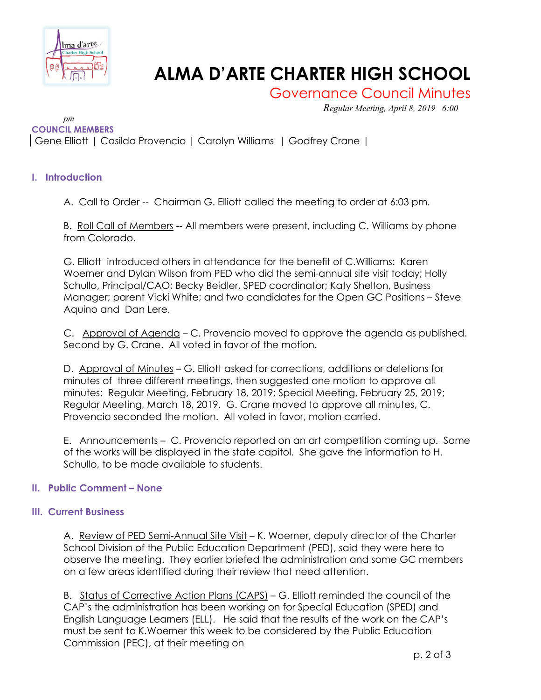

# **ALMA D'ARTE CHARTER HIGH SCHOOL**

Governance Council Minutes

*Regular Meeting, April 8, 2019 6:00* 

*pm* **COUNCIL MEMBERS** Gene Elliott | Casilda Provencio | Carolyn Williams | Godfrey Crane |

## **I. Introduction**

A. Call to Order -- Chairman G. Elliott called the meeting to order at 6:03 pm.

B. Roll Call of Members -- All members were present, including C. Williams by phone from Colorado.

G. Elliott introduced others in attendance for the benefit of C.Williams: Karen Woerner and Dylan Wilson from PED who did the semi-annual site visit today; Holly Schullo, Principal/CAO; Becky Beidler, SPED coordinator; Katy Shelton, Business Manager; parent Vicki White; and two candidates for the Open GC Positions – Steve Aquino and Dan Lere.

C. Approval of Agenda – C. Provencio moved to approve the agenda as published. Second by G. Crane. All voted in favor of the motion.

D. Approval of Minutes - G. Elliott asked for corrections, additions or deletions for minutes of three different meetings, then suggested one motion to approve all minutes: Regular Meeting, February 18, 2019; Special Meeting, February 25, 2019; Regular Meeting, March 18, 2019. G. Crane moved to approve all minutes, C. Provencio seconded the motion. All voted in favor, motion carried.

E. Announcements – C. Provencio reported on an art competition coming up. Some of the works will be displayed in the state capitol. She gave the information to H. Schullo, to be made available to students.

## **II. Public Comment – None**

## **III. Current Business**

A. Review of PED Semi-Annual Site Visit - K. Woerner, deputy director of the Charter School Division of the Public Education Department (PED), said they were here to observe the meeting. They earlier briefed the administration and some GC members on a few areas identified during their review that need attention.

B. Status of Corrective Action Plans (CAPS) – G. Elliott reminded the council of the CAP's the administration has been working on for Special Education (SPED) and English Language Learners (ELL). He said that the results of the work on the CAP's must be sent to K.Woerner this week to be considered by the Public Education Commission (PEC), at their meeting on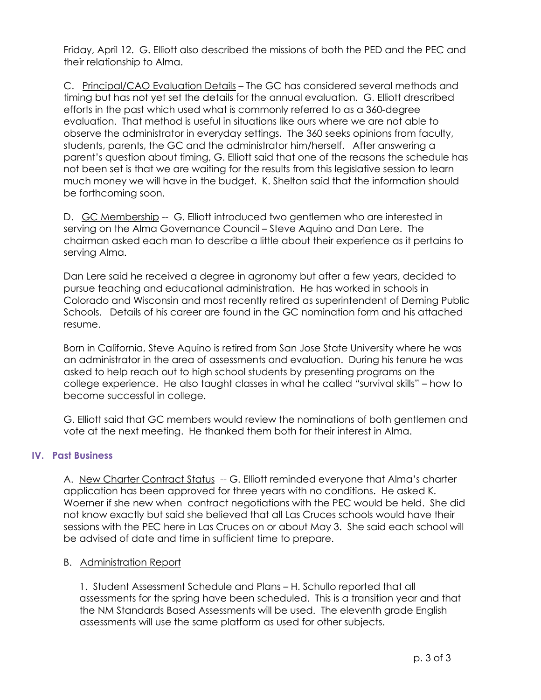Friday, April 12. G. Elliott also described the missions of both the PED and the PEC and their relationship to Alma.

C. Principal/CAO Evaluation Details – The GC has considered several methods and timing but has not yet set the details for the annual evaluation. G. Elliott drescribed efforts in the past which used what is commonly referred to as a 360-degree evaluation. That method is useful in situations like ours where we are not able to observe the administrator in everyday settings. The 360 seeks opinions from faculty, students, parents, the GC and the administrator him/herself. After answering a parent's question about timing, G. Elliott said that one of the reasons the schedule has not been set is that we are waiting for the results from this legislative session to learn much money we will have in the budget. K. Shelton said that the information should be forthcoming soon.

D. GC Membership -- G. Elliott introduced two gentlemen who are interested in serving on the Alma Governance Council – Steve Aquino and Dan Lere. The chairman asked each man to describe a little about their experience as it pertains to serving Alma.

Dan Lere said he received a degree in agronomy but after a few years, decided to pursue teaching and educational administration. He has worked in schools in Colorado and Wisconsin and most recently retired as superintendent of Deming Public Schools. Details of his career are found in the GC nomination form and his attached resume.

Born in California, Steve Aquino is retired from San Jose State University where he was an administrator in the area of assessments and evaluation. During his tenure he was asked to help reach out to high school students by presenting programs on the college experience. He also taught classes in what he called "survival skills" – how to become successful in college.

G. Elliott said that GC members would review the nominations of both gentlemen and vote at the next meeting. He thanked them both for their interest in Alma.

## **IV. Past Business**

A. New Charter Contract Status -- G. Elliott reminded everyone that Alma's charter application has been approved for three years with no conditions. He asked K. Woerner if she new when contract negotiations with the PEC would be held. She did not know exactly but said she believed that all Las Cruces schools would have their sessions with the PEC here in Las Cruces on or about May 3. She said each school will be advised of date and time in sufficient time to prepare.

#### B. Administration Report

1. Student Assessment Schedule and Plans - H. Schullo reported that all assessments for the spring have been scheduled. This is a transition year and that the NM Standards Based Assessments will be used. The eleventh grade English assessments will use the same platform as used for other subjects.